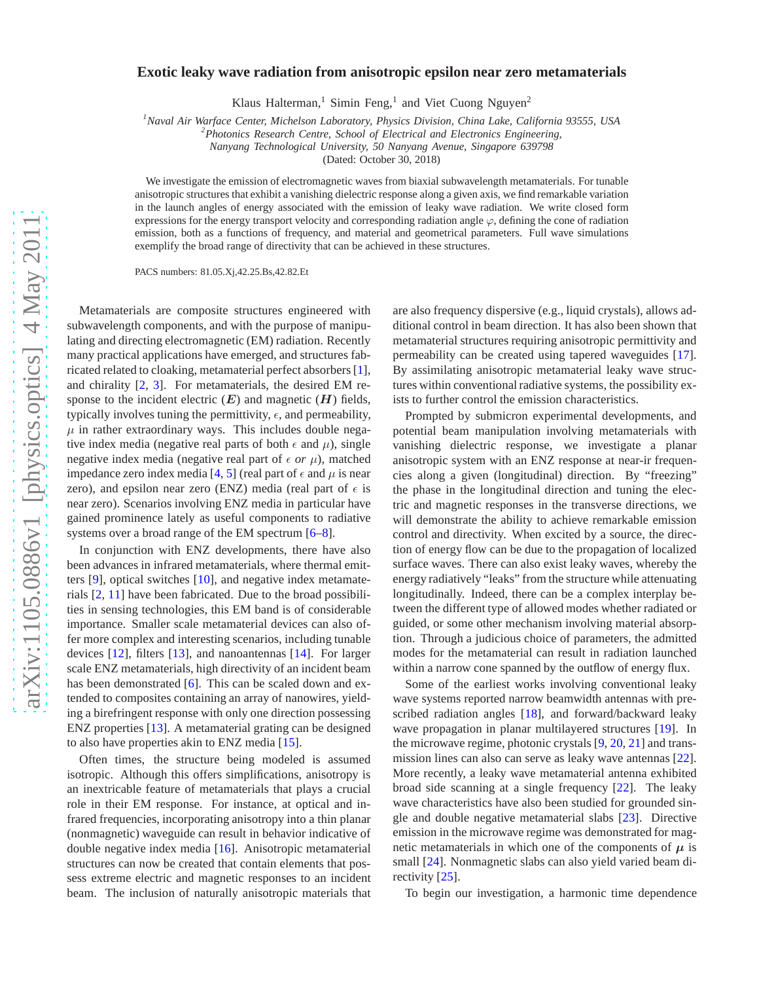## **Exotic leaky wave radiation from anisotropic epsilon near zero metamaterials**

Klaus Halterman,<sup>1</sup> Simin Feng,<sup>1</sup> and Viet Cuong Nguyen<sup>2</sup>

*<sup>1</sup>Naval Air Warface Center, Michelson Laboratory, Physics Division, China Lake, California 93555, USA*

*<sup>2</sup>Photonics Research Centre, School of Electrical and Electronics Engineering,*

*Nanyang Technological University, 50 Nanyang Avenue, Singapore 639798*

(Dated: October 30, 2018)

We investigate the emission of electromagnetic waves from biaxial subwavelength metamaterials. For tunable anisotropic structures that exhibit a vanishing dielectric response along a given axis, we find remarkable variation in the launch angles of energy associated with the emission of leaky wave radiation. We write closed form expressions for the energy transport velocity and corresponding radiation angle  $\varphi$ , defining the cone of radiation emission, both as a functions of frequency, and material and geometrical parameters. Full wave simulations exemplify the broad range of directivity that can be achieved in these structures.

PACS numbers: 81.05.Xj,42.25.Bs,42.82.Et

Metamaterials are composite structures engineered with subwavelength components, and with the purpose of manipulating and directing electromagnetic (EM) radiation. Recently many practical applications have emerged, and structures fabricated related to cloaking, metamaterial perfect absorbers [\[1](#page-3-0)], and chirality [\[2](#page-3-1), [3\]](#page-3-2). For metamaterials, the desired EM response to the incident electric  $(E)$  and magnetic  $(H)$  fields, typically involves tuning the permittivity,  $\epsilon$ , and permeability,  $\mu$  in rather extraordinary ways. This includes double negative index media (negative real parts of both  $\epsilon$  and  $\mu$ ), single negative index media (negative real part of  $\epsilon$  *or*  $\mu$ ), matched impedance zero index media [\[4,](#page-3-3) [5\]](#page-3-4) (real part of  $\epsilon$  and  $\mu$  is near zero), and epsilon near zero (ENZ) media (real part of  $\epsilon$  is near zero). Scenarios involving ENZ media in particular have gained prominence lately as useful components to radiative systems over a broad range of the EM spectrum [\[6](#page-3-5)[–8\]](#page-3-6).

In conjunction with ENZ developments, there have also been advances in infrared metamaterials, where thermal emitters [\[9\]](#page-3-7), optical switches [\[10\]](#page-3-8), and negative index metamaterials [\[2](#page-3-1), [11](#page-3-9)] have been fabricated. Due to the broad possibilities in sensing technologies, this EM band is of considerable importance. Smaller scale metamaterial devices can also offer more complex and interesting scenarios, including tunable devices [\[12](#page-3-10)], filters [\[13](#page-3-11)], and nanoantennas [\[14](#page-3-12)]. For larger scale ENZ metamaterials, high directivity of an incident beam has been demonstrated [\[6\]](#page-3-5). This can be scaled down and extended to composites containing an array of nanowires, yielding a birefringent response with only one direction possessing ENZ properties [\[13\]](#page-3-11). A metamaterial grating can be designed to also have properties akin to ENZ media [\[15\]](#page-3-13).

Often times, the structure being modeled is assumed isotropic. Although this offers simplifications, anisotropy is an inextricable feature of metamaterials that plays a crucial role in their EM response. For instance, at optical and infrared frequencies, incorporating anisotropy into a thin planar (nonmagnetic) waveguide can result in behavior indicative of double negative index media [\[16](#page-3-14)]. Anisotropic metamaterial structures can now be created that contain elements that possess extreme electric and magnetic responses to an incident beam. The inclusion of naturally anisotropic materials that

are also frequency dispersive (e.g., liquid crystals), allows additional control in beam direction. It has also been shown that metamaterial structures requiring anisotropic permittivity and permeability can be created using tapered waveguides [\[17](#page-3-15)]. By assimilating anisotropic metamaterial leaky wave structures within conventional radiative systems, the possibility exists to further control the emission characteristics.

Prompted by submicron experimental developments, and potential beam manipulation involving metamaterials with vanishing dielectric response, we investigate a planar anisotropic system with an ENZ response at near-ir frequencies along a given (longitudinal) direction. By "freezing" the phase in the longitudinal direction and tuning the electric and magnetic responses in the transverse directions, we will demonstrate the ability to achieve remarkable emission control and directivity. When excited by a source, the direction of energy flow can be due to the propagation of localized surface waves. There can also exist leaky waves, whereby the energy radiatively "leaks" from the structure while attenuating longitudinally. Indeed, there can be a complex interplay between the different type of allowed modes whether radiated or guided, or some other mechanism involving material absorption. Through a judicious choice of parameters, the admitted modes for the metamaterial can result in radiation launched within a narrow cone spanned by the outflow of energy flux.

Some of the earliest works involving conventional leaky wave systems reported narrow beamwidth antennas with prescribed radiation angles [\[18\]](#page-3-16), and forward/backward leaky wave propagation in planar multilayered structures [\[19\]](#page-3-17). In the microwave regime, photonic crystals [\[9,](#page-3-7) [20,](#page-3-18) [21](#page-3-19)] and transmission lines can also can serve as leaky wave antennas [\[22](#page-3-20)]. More recently, a leaky wave metamaterial antenna exhibited broad side scanning at a single frequency [\[22\]](#page-3-20). The leaky wave characteristics have also been studied for grounded single and double negative metamaterial slabs [\[23\]](#page-3-21). Directive emission in the microwave regime was demonstrated for magnetic metamaterials in which one of the components of  $\mu$  is small [\[24\]](#page-3-22). Nonmagnetic slabs can also yield varied beam directivity [\[25\]](#page-3-23).

To begin our investigation, a harmonic time dependence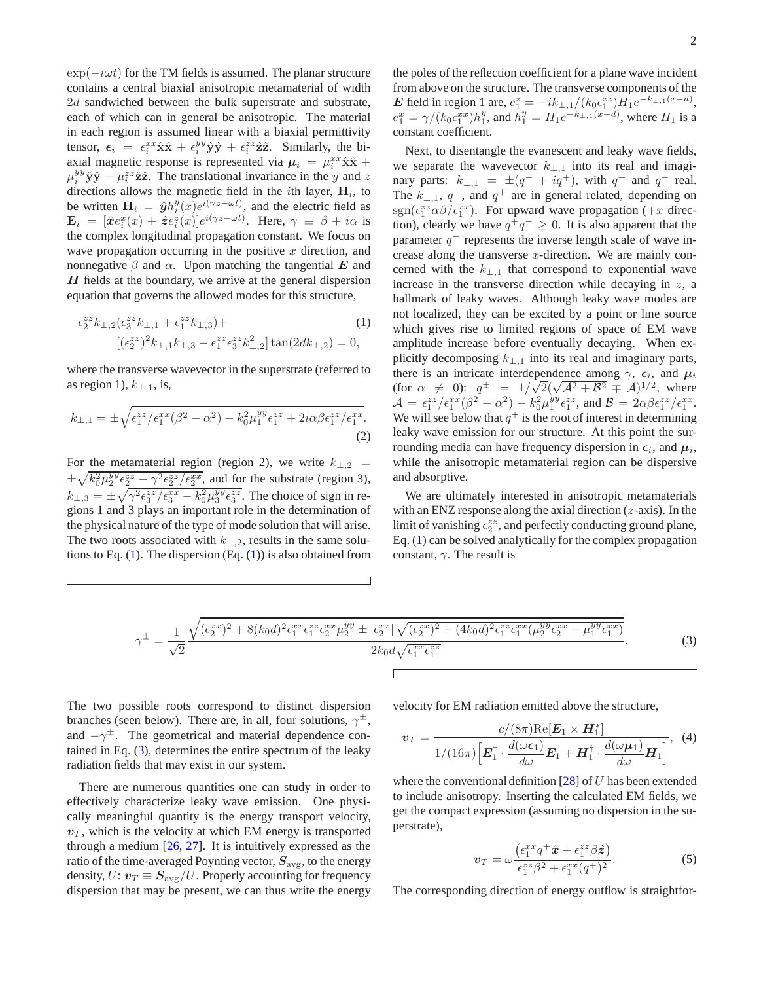$\exp(-i\omega t)$  for the TM fields is assumed. The planar structure contains a central biaxial anisotropic metamaterial of width 2d sandwiched between the bulk superstrate and substrate, each of which can in general be anisotropic. The material in each region is assumed linear with a biaxial permittivity tensor,  $\epsilon_i = \epsilon_i^{xx} \hat{\mathbf{x}} \hat{\mathbf{x}} + \epsilon_i^{yy} \hat{\mathbf{y}} \hat{\mathbf{y}} + \epsilon_i^{zz} \hat{\mathbf{z}} \hat{\mathbf{z}}$ . Similarly, the biaxial magnetic response is represented via  $\mu_i = \mu_i^{xx} \hat{\mathbf{x}} \hat{\mathbf{x}} + \hat{\mathbf{x}} \hat{\mathbf{x}}$  $\mu_i^{yy} \hat{\mathbf{y}} \hat{\mathbf{y}} + \mu_i^{zz} \hat{\mathbf{z}} \hat{\mathbf{z}}$ . The translational invariance in the y and z directions allows the magnetic field in the *i*th layer,  $H_i$ , to be written  $\mathbf{H}_i = \hat{\mathbf{y}} h_i^y(x) e^{i(\gamma z - \omega t)}$ , and the electric field as  $\mathbf{E}_i = [\hat{\boldsymbol{x}} e_i^x(x) + \hat{\boldsymbol{z}} e_i^z(x)] e^{i(\gamma z - \omega t)}$ . Here,  $\gamma \equiv \beta + i\alpha$  is the complex longitudinal propagation constant. We focus on wave propagation occurring in the positive  $x$  direction, and nonnegative  $\beta$  and  $\alpha$ . Upon matching the tangential E and  $H$  fields at the boundary, we arrive at the general dispersion equation that governs the allowed modes for this structure,

$$
\epsilon_2^{z\bar{z}} k_{\perp,2} (\epsilon_3^{z\bar{z}} k_{\perp,1} + \epsilon_1^{z\bar{z}} k_{\perp,3}) +
$$
  
[( $\epsilon_2^{z\bar{z}})^2 k_{\perp,1} k_{\perp,3} - \epsilon_1^{z\bar{z}} \epsilon_3^{z\bar{z}} k_{\perp,2}^2] \tan(2dk_{\perp,2}) = 0,$ 

where the transverse wavevector in the superstrate (referred to as region 1),  $k_{\perp,1}$ , is,

$$
k_{\perp,1} = \pm \sqrt{\epsilon_1^{zz}/\epsilon_1^{xx}(\beta^2 - \alpha^2) - k_0^2 \mu_1^{yy} \epsilon_1^{zz} + 2i\alpha\beta\epsilon_1^{zz}/\epsilon_1^{xx}}.
$$
\n(2)

For the metamaterial region (region 2), we write  $k_{\perp,2}$  =  $\pm \sqrt{k_0^2 \mu_2^{yy} \epsilon_2^{zz} - \gamma^2 \epsilon_2^{zz}/\epsilon_2^{xx}}$ , and for the substrate (region 3),  $k_{\perp,3} = \pm \sqrt{\gamma^2 \epsilon_3^{zz}/\epsilon_3^{xx} - k_0^2 \mu_3^{yy} \epsilon_3^{zz}}$ . The choice of sign in regions 1 and 3 plays an important role in the determination of the physical nature of the type of mode solution that will arise. The two roots associated with  $k_{\perp,2}$ , results in the same solutions to Eq.  $(1)$ . The dispersion  $(Eq. (1))$  $(Eq. (1))$  $(Eq. (1))$  is also obtained from the poles of the reflection coefficient for a plane wave incident from above on the structure. The transverse components of the E field in region 1 are,  $e_1^z = -ik_{\perp,1}/(k_0 \epsilon_1^{zz}) H_1 e^{-k_{\perp,1}(x-d)},$  $e_1^x = \gamma/(k_0 \epsilon_1^{xx}) h_1^y$ , and  $\bar{h}_1^y = H_1 e^{-k_{\perp,1}(x-d)}$ , where  $H_1$  is a constant coefficient.

<span id="page-1-0"></span>Next, to disentangle the evanescent and leaky wave fields, we separate the wavevector  $k_{\perp,1}$  into its real and imaginary parts:  $k_{\perp,1} = \pm (q^- + iq^+)$ , with  $q^+$  and  $q^-$  real. The  $k_{\perp,1}$ ,  $q^-$ , and  $q^+$  are in general related, depending on  $sgn(\epsilon_1^{zz} \alpha \beta / \epsilon_1^{xx})$ . For upward wave propagation (+x direction), clearly we have  $q^+q^- \ge 0$ . It is also apparent that the parameter  $q^-$  represents the inverse length scale of wave increase along the transverse  $x$ -direction. We are mainly concerned with the  $k_{\perp,1}$  that correspond to exponential wave increase in the transverse direction while decaying in  $z$ , a hallmark of leaky waves. Although leaky wave modes are not localized, they can be excited by a point or line source which gives rise to limited regions of space of EM wave amplitude increase before eventually decaying. When explicitly decomposing  $k_{\perp,1}$  into its real and imaginary parts, there is an intricate interdependence among  $\gamma$ ,  $\epsilon_i$ , and  $\mu_i$ (for  $\alpha \neq 0$ ):  $q^{\pm} = 1/\sqrt{2}(\sqrt{A^2 + B^2} \pm A)^{1/2}$ , where  $\mathcal{A} = \epsilon_1^{zz} / \epsilon_1^{xx} (\beta^2 - \alpha^2) - k_0^2 \mu_1^{yy} \epsilon_1^{zz}$ , and  $\mathcal{B} = 2\alpha \beta \epsilon_1^{zz} / \epsilon_1^{xx}$ . We will see below that  $q^+$  is the root of interest in determining leaky wave emission for our structure. At this point the surrounding media can have frequency dispersion in  $\epsilon_i$ , and  $\mu_i$ , while the anisotropic metamaterial region can be dispersive and absorptive.

We are ultimately interested in anisotropic metamaterials with an ENZ response along the axial direction  $(z$ -axis). In the limit of vanishing  $\epsilon_2^{zz}$ , and perfectly conducting ground plane, Eq. [\(1\)](#page-1-0) can be solved analytically for the complex propagation constant,  $\gamma$ . The result is

<span id="page-1-1"></span>
$$
\gamma^{\pm} = \frac{1}{\sqrt{2}} \frac{\sqrt{(\epsilon_2^{xx})^2 + 8(k_0 d)^2 \epsilon_1^{xx} \epsilon_1^{zz} \epsilon_2^{xx} \mu_2^{yy} \pm |\epsilon_2^{xx}| \sqrt{(\epsilon_2^{xx})^2 + (4k_0 d)^2 \epsilon_1^{zz} \epsilon_1^{xx} (\mu_2^{yy} \epsilon_2^{xx} - \mu_1^{yy} \epsilon_1^{xx})}}{2k_0 d \sqrt{\epsilon_1^{xx} \epsilon_1^{zz}}}. \tag{3}
$$

The two possible roots correspond to distinct dispersion branches (seen below). There are, in all, four solutions,  $\gamma^{\pm}$ , and  $-\gamma^{\pm}$ . The geometrical and material dependence contained in Eq. [\(3\)](#page-1-1), determines the entire spectrum of the leaky radiation fields that may exist in our system.

There are numerous quantities one can study in order to effectively characterize leaky wave emission. One physically meaningful quantity is the energy transport velocity,  $v_T$ , which is the velocity at which EM energy is transported through a medium  $[26, 27]$  $[26, 27]$  $[26, 27]$  $[26, 27]$ . It is intuitively expressed as the ratio of the time-averaged Poynting vector,  $S_{\text{avg}}$ , to the energy density,  $U: \mathbf{v}_T \equiv \mathbf{S}_{\text{avg}}/U$ . Properly accounting for frequency dispersion that may be present, we can thus write the energy

velocity for EM radiation emitted above the structure,

$$
\boldsymbol{v}_{T} = \frac{c/(8\pi)\mathrm{Re}[\boldsymbol{E}_{1} \times \boldsymbol{H}_{1}^{*}]}{1/(16\pi)\Big[\boldsymbol{E}_{1}^{\dagger} \cdot \frac{d(\omega\boldsymbol{\epsilon}_{1})}{d\omega}\boldsymbol{E}_{1} + \boldsymbol{H}_{1}^{\dagger} \cdot \frac{d(\omega\boldsymbol{\mu}_{1})}{d\omega}\boldsymbol{H}_{1}\Big]}, \quad (4)
$$

where the conventional definition  $[28]$  of U has been extended to include anisotropy. Inserting the calculated EM fields, we get the compact expression (assuming no dispersion in the superstrate),

<span id="page-1-2"></span>
$$
\boldsymbol{v}_T = \omega \frac{\left(\epsilon_1^{xx} q^+ \hat{\boldsymbol{x}} + \epsilon_1^{zz} \beta \hat{\boldsymbol{z}}\right)}{\epsilon_1^{zz} \beta^2 + \epsilon_1^{xx} (q^+)^2}.
$$
 (5)

The corresponding direction of energy outflow is straightfor-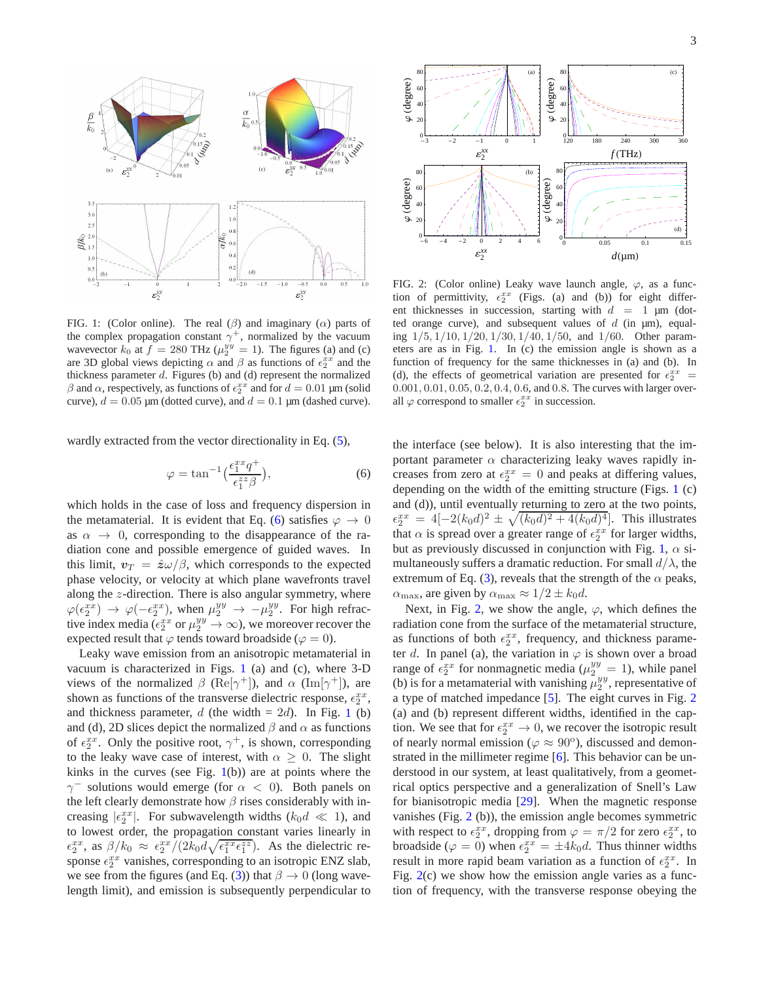

<span id="page-2-1"></span>FIG. 1: (Color online). The real  $(\beta)$  and imaginary  $(\alpha)$  parts of the complex propagation constant  $\gamma^+$ , normalized by the vacuum wavevector  $k_0$  at  $f = 280 \text{ THz } (\mu_2^{yy} = 1)$ . The figures (a) and (c) are 3D global views depicting  $\alpha$  and  $\beta$  as functions of  $\epsilon_2^{xx}$  and the thickness parameter  $d$ . Figures (b) and (d) represent the normalized  $β$  and  $α$ , respectively, as functions of  $ε_2^{xx}$  and for  $d = 0.01 \mu m$  (solid curve),  $d = 0.05$  µm (dotted curve), and  $d = 0.1$  µm (dashed curve).

wardly extracted from the vector directionality in Eq. [\(5\)](#page-1-2),

<span id="page-2-0"></span>
$$
\varphi = \tan^{-1}\left(\frac{\epsilon_1^{xx}q^+}{\epsilon_1^{zz}\beta}\right),\tag{6}
$$

which holds in the case of loss and frequency dispersion in the metamaterial. It is evident that Eq. [\(6\)](#page-2-0) satisfies  $\varphi \to 0$ as  $\alpha \rightarrow 0$ , corresponding to the disappearance of the radiation cone and possible emergence of guided waves. In this limit,  $v_T = \hat{z}\omega/\beta$ , which corresponds to the expected phase velocity, or velocity at which plane wavefronts travel along the z-direction. There is also angular symmetry, where  $\varphi(\epsilon_2^{xx}) \to \varphi(-\epsilon_2^{xx})$ , when  $\mu_2^{yy} \to -\mu_2^{yy}$ . For high refractive index media ( $\epsilon_2^{xx}$  or  $\mu_2^{yy} \to \infty$ ), we moreover recover the expected result that  $\varphi$  tends toward broadside ( $\varphi = 0$ ).

Leaky wave emission from an anisotropic metamaterial in vacuum is characterized in Figs. [1](#page-2-1) (a) and (c), where 3-D views of the normalized  $\beta$  (Re[ $\gamma^+$ ]), and  $\alpha$  (Im[ $\gamma^+$ ]), are shown as functions of the transverse dielectric response,  $\epsilon_2^{xx}$ , and thickness parameter, d (the width  $= 2d$ ). In Fig. [1](#page-2-1) (b) and (d), 2D slices depict the normalized  $\beta$  and  $\alpha$  as functions of  $\epsilon_2^{xx}$ . Only the positive root,  $\gamma^+$ , is shown, corresponding to the leaky wave case of interest, with  $\alpha \geq 0$ . The slight kinks in the curves (see Fig.  $1(b)$  $1(b)$ ) are at points where the  $\gamma$ <sup>-</sup> solutions would emerge (for  $\alpha$  < 0). Both panels on the left clearly demonstrate how  $\beta$  rises considerably with increasing  $|\epsilon_2^{xx}|$ . For subwavelength widths  $(k_0d \ll 1)$ , and to lowest order, the propagation constant varies linearly in  $\epsilon_2^{xx}$ , as  $\beta/k_0 \approx \epsilon_2^{xx}/(2k_0d\sqrt{\epsilon_1^{xx}\epsilon_1^{zz}})$ . As the dielectric response  $\epsilon_2^{xx}$  vanishes, corresponding to an isotropic ENZ slab, we see from the figures (and Eq. [\(3\)](#page-1-1)) that  $\beta \to 0$  (long wavelength limit), and emission is subsequently perpendicular to



<span id="page-2-2"></span>FIG. 2: (Color online) Leaky wave launch angle,  $\varphi$ , as a function of permittivity,  $\epsilon_2^{xx}$  (Figs. (a) and (b)) for eight different thicknesses in succession, starting with  $d = 1 \mu m$  (dotted orange curve), and subsequent values of  $d$  (in  $\mu$ m), equaling  $1/5$ ,  $1/10$ ,  $1/20$ ,  $1/30$ ,  $1/40$ ,  $1/50$ , and  $1/60$ . Other parameters are as in Fig. [1.](#page-2-1) In (c) the emission angle is shown as a function of frequency for the same thicknesses in (a) and (b). In (d), the effects of geometrical variation are presented for  $\epsilon_2^{xx}$  = 0.001, 0.01, 0.05, 0.2, 0.4, 0.6, and 0.8. The curves with larger overall  $\varphi$  correspond to smaller  $\epsilon_2^{xx}$  in succession.

the interface (see below). It is also interesting that the important parameter  $\alpha$  characterizing leaky waves rapidly increases from zero at  $\epsilon_2^{xx} = 0$  and peaks at differing values, depending on the width of the emitting structure (Figs. [1](#page-2-1) (c) and (d)), until eventually returning to zero at the two points,  $\epsilon_2^{xx} = 4[-2(k_0 d)^2 \pm \sqrt{(k_0 d)^2 + 4(k_0 d)^4}]$ . This illustrates that  $\alpha$  is spread over a greater range of  $\epsilon_2^{xx}$  for larger widths, but as previously discussed in conjunction with Fig. [1,](#page-2-1)  $\alpha$  simultaneously suffers a dramatic reduction. For small  $d/\lambda$ , the extremum of Eq. [\(3\)](#page-1-1), reveals that the strength of the  $\alpha$  peaks,  $\alpha_{\text{max}}$ , are given by  $\alpha_{\text{max}} \approx 1/2 \pm k_0 d$ .

Next, in Fig. [2,](#page-2-2) we show the angle,  $\varphi$ , which defines the radiation cone from the surface of the metamaterial structure, as functions of both  $\epsilon_2^{xx}$ , frequency, and thickness parameter d. In panel (a), the variation in  $\varphi$  is shown over a broad range of  $\epsilon_2^{xx}$  for nonmagnetic media ( $\mu_2^{yy} = 1$ ), while panel (b) is for a metamaterial with vanishing  $\mu_2^{yy}$ , representative of a type of matched impedance [\[5](#page-3-4)]. The eight curves in Fig. [2](#page-2-2) (a) and (b) represent different widths, identified in the caption. We see that for  $\epsilon_2^{xx} \to 0$ , we recover the isotropic result of nearly normal emission ( $\varphi \approx 90^{\circ}$ ), discussed and demonstrated in the millimeter regime [\[6\]](#page-3-5). This behavior can be understood in our system, at least qualitatively, from a geometrical optics perspective and a generalization of Snell's Law for bianisotropic media [\[29\]](#page-3-27). When the magnetic response vanishes (Fig. [2](#page-2-2) (b)), the emission angle becomes symmetric with respect to  $\epsilon_2^{xx}$ , dropping from  $\varphi = \pi/2$  for zero  $\epsilon_2^{xx}$ , to broadside ( $\varphi = 0$ ) when  $\epsilon_2^{xx} = \pm 4k_0 d$ . Thus thinner widths result in more rapid beam variation as a function of  $\epsilon_2^{xx}$ . In Fig.  $2(c)$  $2(c)$  we show how the emission angle varies as a function of frequency, with the transverse response obeying the